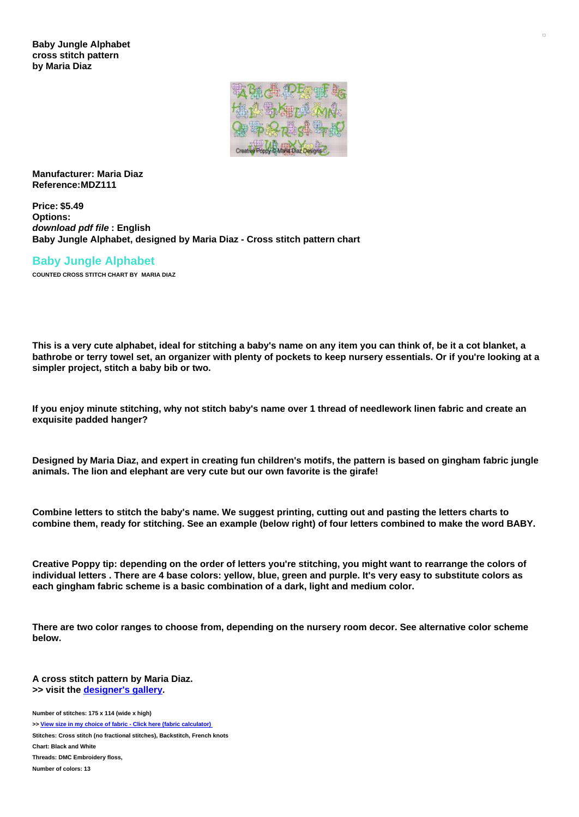**Baby Jungle Alphabet cross stitch pattern by Maria Diaz**



**Manufacturer: Maria Diaz Reference:MDZ111**

**Price: \$5.49 Options:** *download pdf file* **: English Baby Jungle Alphabet, designed by Maria Diaz - Cross stitch pattern chart**

# **Baby Jungle Alphabet**

**COUNTED CROSS STITCH CHART BY MARIA DIAZ**

This is a very cute alphabet, ideal for stitching a baby's name on any item you can think of, be it a cot blanket, a bathrobe or terry towel set, an organizer with plenty of pockets to keep nursery essentials. Or if you're looking at a **simpler project, stitch a baby bib or two.**

If you enjoy minute stitching, why not stitch baby's name over 1 thread of needlework linen fabric and create an **exquisite padded hanger?**

Designed by Maria Diaz, and expert in creating fun children's motifs, the pattern is based on gingham fabric jungle **animals. The lion and elephant are very cute but our own favorite is the girafe!**

Combine letters to stitch the baby's name. We suggest printing, cutting out and pasting the letters charts to combine them, ready for stitching. See an example (below right) of four letters combined to make the word BABY.

Creative Poppy tip: depending on the order of letters you're stitching, you might want to rearrange the colors of individual letters. There are 4 base colors: yellow, blue, green and purple. It's very easy to substitute colors as **each gingham fabric scheme is a basic combination of a dark, light and medium color.**

There are two color ranges to choose from, depending on the nursery room decor. See alternative color scheme **below.**

**A cross stitch pattern by Maria Diaz. >> visit the [designer's](https://www.creativepoppypatterns.com/browsebydesigner-maria-diaz-designs-xsl-296_473.html) gallery.**

**Number of stitches: 175 x 114 (wide x high) >> View size in my choice of fabric - Click here (fabric [calculator\)](https://www.creativepoppypatterns.com/calculette-de-toile.php?products_id=2709&w=175&h=114) Stitches: Cross stitch (no fractional stitches), Backstitch, French knots Chart: Black and White Threads: DMC Embroidery floss, Number of colors: 13**